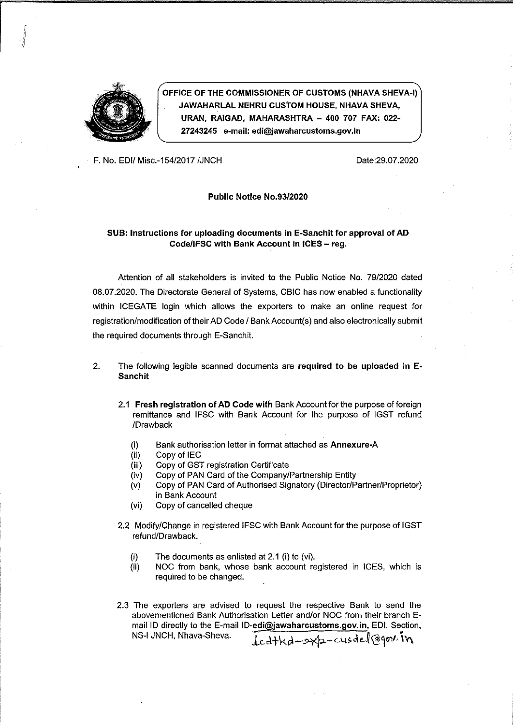

OFFICE OF THE COMMISSIONER OF CUSTOMS (NHAVA SHEVA-I) JAWAHARLAL NEHRU CUSTOM HOUSE, NHAVA SHEVA, URAN, RAIGAD, MAHARASHTRA - 400 707 FAX: 022-27243245 e-mail: edi@jawaharcustoms.gov.in

F. No. EDI/ Misc .- 154/2017 / JNCH

Date:29.07.2020

#### Public Notice No.93/2020

#### SUB: Instructions for uploading documents in E-Sanchit for approval of AD Code/IFSC with Bank Account in ICES - reg.

Attention of all stakeholders is invited to the Public Notice No. 79/2020 dated 08.07.2020. The Directorate General of Systems, CBIC has now enabled a functionality within ICEGATE login which allows the exporters to make an online request for registration/modification of their AD Code / Bank Account(s) and also electronically submit the required documents through E-Sanchit.

- $2<sub>-</sub>$ The following legible scanned documents are required to be uploaded in E-**Sanchit** 
	- 2.1 Fresh registration of AD Code with Bank Account for the purpose of foreign remittance and IFSC with Bank Account for the purpose of IGST refund /Drawback
		- $(i)$ Bank authorisation letter in format attached as Annexure-A
		- Copy of IEC  $(ii)$
		- Copy of GST registration Certificate  $(iii)$
		- Copy of PAN Card of the Company/Partnership Entity  $(iv)$
		- Copy of PAN Card of Authorised Signatory (Director/Partner/Proprietor)  $(v)$ in Bank Account
		- Copy of cancelled cheque  $(v<sub>i</sub>)$
	- 2.2 Modify/Change in registered IFSC with Bank Account for the purpose of IGST refund/Drawback.
		- The documents as enlisted at 2.1 (i) to (vi).  $(i)$
		- $(ii)$ NOC from bank, whose bank account registered in ICES, which is required to be changed.
	- 2.3 The exporters are advised to request the respective Bank to send the abovementioned Bank Authorisation Letter and/or NOC from their branch Email ID directly to the E-mail ID-edi@jawaharcustoms.gov.in, EDI, Section, Icdtkd-sxp-cusael@gov.in NS-I JNCH, Nhava-Sheva.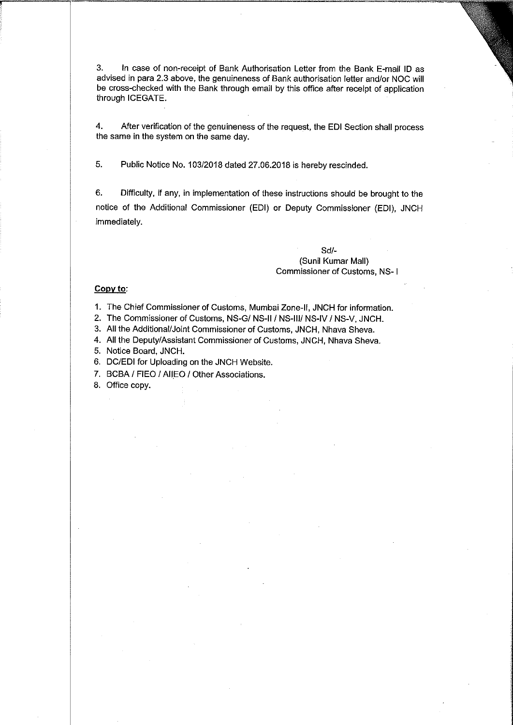3. In case of non-receipt of Bank Authorisation Letter from the Bank E-mail ID as advised in para 2.3 above, the genuineness of Bank authorisation letter and/or NOC will be cross-checked with the Bank through email by this office after receipt of application through ICEGATE.

4. After verification of the genuineness of the request, the EDI Section shall process the same in the system on the same day.

5. Public Notice No. 103/2018 dated 27.06.2018 is hereby rescinded.

6. Difficulty, if any, in implementation of these instructions should be brought to the notice of the Additional Commissioner (EDI) or Deputy Commissioner (EDI), JNCH immediately.

#### $Sd/-$

#### (Sunil Kumar Mall) Commissioner of Customs, NS-1

#### Copy to:

1. The Chief Commissioner of Customs, Mumbai Zone-II, JNCH for information.

2. The Commissioner of Customs, NS-G/ NS-II / NS-III/ NS-IV / NS-V, JNCH.

3. All the Additional/Joint Commissioner of Customs, JNCH, Nhava Sheva.

4. All the Deputy/Assistant Commissioner of Customs, JNCH, Nhava Sheva.

5. Notice Board, JNCH.

6. DC/EDI for Uploading on the JNCH Website.

7. BCBA / FIEO / AIIEO / Other Associations.

8. Office copy.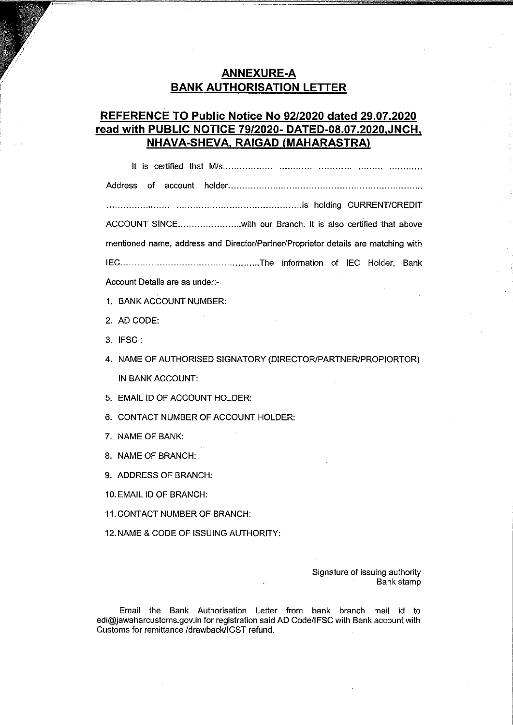# **ANNEXURE-A BANK AUTHORISATION LETTER**

# REFERENCE TO Public Notice No 92/2020 dated 29.07.2020 read with PUBLIC NOTICE 79/2020- DATED-08.07.2020.JNCH. NHAVA-SHEVA, RAIGAD (MAHARASTRA)

ACCOUNT SINCE...........................with our Branch. It is also certified that above mentioned name, address and Director/Partner/Proprietor details are matching with Account Details are as under:-

- 1. BANK ACCOUNT NUMBER:
- 2. AD CODE:
- 3. IFSC:
- 4. NAME OF AUTHORISED SIGNATORY (DIRECTOR/PARTNER/PROPIORTOR) IN BANK ACCOUNT:
- 5. EMAIL ID OF ACCOUNT HOLDER:
- 6. CONTACT NUMBER OF ACCOUNT HOLDER:
- 7. NAME OF BANK:
- 8. NAME OF BRANCH:
- 9. ADDRESS OF BRANCH:

10. EMAIL ID OF BRANCH:

11. CONTACT NUMBER OF BRANCH:

12. NAME & CODE OF ISSUING AUTHORITY:

Signature of issuing authority Bank stamp

Email the Bank Authorisation Letter from bank branch mail id to edi@jawaharcustoms.gov.in for registration said AD Code/IFSC with Bank account with Customs for remittance /drawback/IGST refund.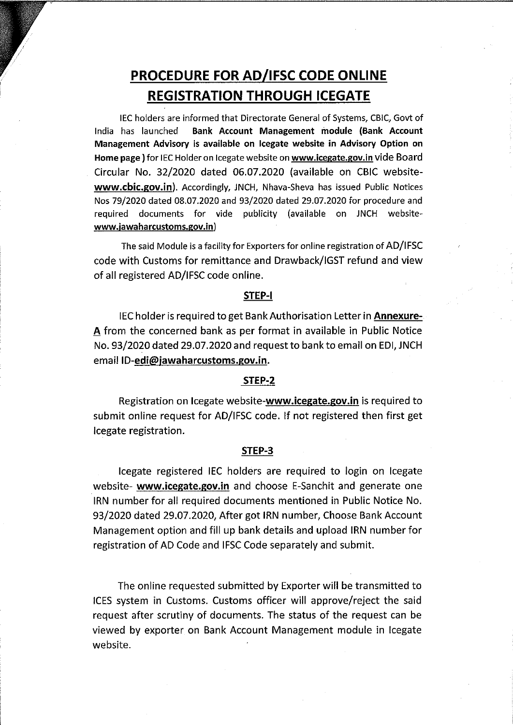# PROCEDURE FOR AD/IFSC CODE ONLINE **REGISTRATION THROUGH ICEGATE**

IEC holders are informed that Directorate General of Systems, CBIC, Govt of India has launched Bank Account Management module (Bank Account Management Advisory is available on Icegate website in Advisory Option on Home page) for IEC Holder on Icegate website on www.icegate.gov.in vide Board Circular No. 32/2020 dated 06.07.2020 (available on CBIC websitewww.cbic.gov.in). Accordingly, JNCH, Nhava-Sheva has issued Public Notices Nos 79/2020 dated 08.07.2020 and 93/2020 dated 29.07.2020 for procedure and required documents for vide publicity (available on JNCH websitewww.jawaharcustoms.gov.in)

The said Module is a facility for Exporters for online registration of AD/IFSC code with Customs for remittance and Drawback/IGST refund and view of all registered AD/IFSC code online.

## STEP-I

IEC holder is required to get Bank Authorisation Letter in **Annexure-**A from the concerned bank as per format in available in Public Notice No. 93/2020 dated 29.07.2020 and request to bank to email on EDI, JNCH email ID-edi@jawaharcustoms.gov.in.

## STEP-2

Registration on Icegate website-www.icegate.gov.in is required to submit online request for AD/IFSC code. If not registered then first get lcegate registration.

#### STEP-3

Icegate registered IEC holders are required to login on Icegate website- www.icegate.gov.in and choose E-Sanchit and generate one IRN number for all required documents mentioned in Public Notice No. 93/2020 dated 29.07.2020, After got IRN number, Choose Bank Account Management option and fill up bank details and upload IRN number for registration of AD Code and IFSC Code separately and submit.

The online requested submitted by Exporter will be transmitted to ICES system in Customs. Customs officer will approve/reject the said request after scrutiny of documents. The status of the request can be viewed by exporter on Bank Account Management module in Icegate website.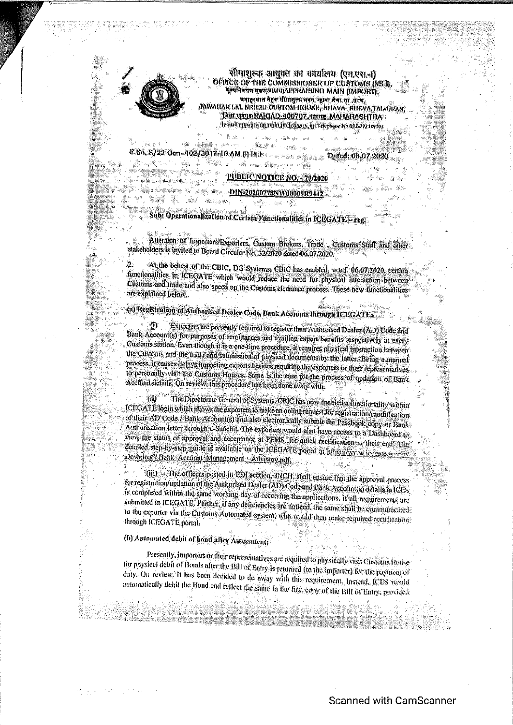

 $\approx 50$ 

.<br>Ring

الكوهيون

 $\left\langle \left\langle \hat{g}_{0}^{0}(\vec{r})\right\rangle _{0}^{2}\left\langle \hat{g}_{0}^{0}\right\rangle _{0}^{2}\right\rangle _{0}$ 

en ta a

tings.

**Will commune** w<sup>i</sup>

सीमाशुल्क आयुक्त का कार्यालय (एन,एस.न) **OFFICI: OF THE COMMISSIONER OF CUSTOMS (NSEI)** Цечнечи потанина предленно MAIN (IMPORT). बवाहरसाल मैहरू सीमाशुल्क भवन, न्हाबा शेवा, ता .सर्पा JAWAILAR TAL NRIHU CUSTOM HODSE, NITAVA, KHEVA, TAL CIRAN MIL UNID BAKKAD 400707, THE MAHARASHTRA des null appendix mannels, including e. in Telephone No.022.2721.01791

As è a P.No. S/22-Gen-402/2017-10 AM (I) Phil contract and the Duted: 08.07.2020  $-3.499 - 5$ **B** on the state the

Non-mass

**PUBLIC NOTICE NO. - 79/2020** 

**Experience DIN 20200778NW00000R944** 

雹.

Sub: Operationalization of Certain Functionalities in ICEGATE-reg

<u>अर्थैं:</u>

Attention of Importers/Exporters, Custom Brokers, Trade , Customs Staff and other stakeholders is invited to Board Circular No. 32/2020 dated 06.07.2020.

At the behest of the CBIC, DG Systems, CBIC has enabled, w.e.f. 06.07.2020, certain functionalities in ICEGATE which would reduce the need for physical interaction between Customs and trade and also speed up the Customs elemnnes process. These new functionalities are explained below.

(a) Registration of Authorised Dealer Code, Bank Accounts through ICEGATE:

Exporters are presently required to register their Authorised Dealer (AD) Code and -41) Bank Account(s) for purposes of remlitances and availing export benefits respectively at every Customs station. Even though it is a one-time provedure, it requires physical interaction between the Customs and the trade-and submission of physical documents by the latter. Being a manual process, it causes delays impacting expons besides requiring the exponers or their representatives to personally visit the Cusloms Houses. Same is the case for the process of updation of Bank. Account details, On review, this procedure has been done away with

The Directorate General of Systems. CBIC has now enabled a functionality within ង៉ោ ICEOATE login which allows the exporters to make an online request for registration/modifications of their AD Code / Bank Account(s) and also electronically submit the Passbook copy or Bank Authorisation letter through e-Sanchili. The exporters would also have necess to a Dashboard to view the status of approval and acceptance at PFMS. for quick rectification at their end. The denuted step-by-step-guide is available on the ICEOATE portal at https://www.iceaste.gov.in/ Download/Bank Account Monagement Advisory.pdf

(iii) The officers posted in EDI section, JNCH, shall ensure that the approval process for registration/undation of the Authorised Dealer (AD) Code and Bank Account(s) details in ICES. is completed within the same working day of receiving the applications. If all requirements are submitted in ICEGATE. Purther, If any deficiencies are noticed, the same shall be communicated to the exporter via the Customs Automated system, who would then make required rectificationthrough ICEGATE portal.

(b) Automated debit of hond after Assessment;

Presently, importers or their representatives are required to physically visit Customs House for physical debit of Bonds after the Bill of Entry is returned (to the importer) for the payment of duty. On review, it has been decided to do away with this requirement, Instead, ICES would automatically debit the Bond and reflect the same in the first copy of the Bill of Entry, provided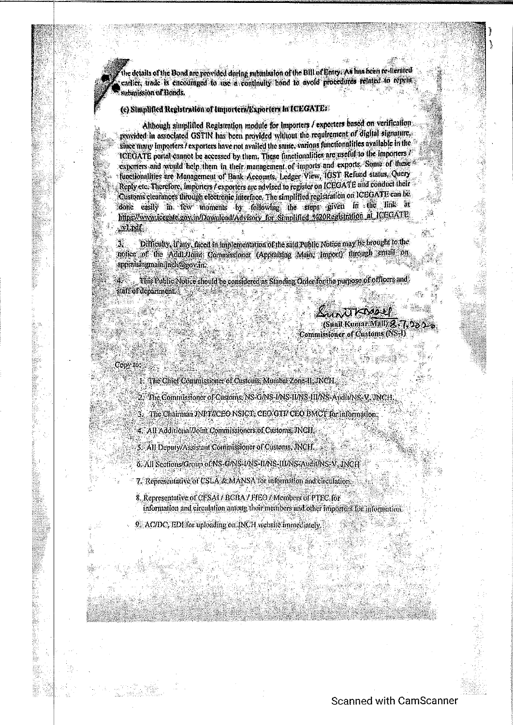the details of the Bond are provided during submission of the Bill of Huny As has been re-flerated cattlet, trade is encouraged to use a continuity bond to avoid procedures related to repeat submission of Bonds.

#### (c) Simplified Registration of Importers/Exporters in ICEGATE:

Although simplified Registration module for importers / exporters based on verification provided in associated GSTIN has been provided without the requirement of digital signature. stirce many Importers / exporters have not availed the same, various functionalities available in the ICEGATE portal cannot be accessed by them. These functionalities are useful to the importers? exporters and would help them in their management of imports and exports. Some of these functionalities are Management of Bank Accounts, Ledger View, IGST Refund status, Query Reply etc. Therefore, importers / exporters are advised to register on ICEGATE and conduct their Customs clearances through electronic interface. The simplified registration on ICEGATE can be done easily in few moments by following the steps given in the link at https://www.icegate.gov.in/Download/Advisory for Shinplified %20Registration at ICEGATE  $\mathbf{M}$ 

瀿 Difficulty, it any, faced in implementation of the said Public Notice may be brought to the notice of the Addi-Jionn Commissioner (Appraising Main, Import) finough gonall on appraisingmain inchiagovan.

This Public Notice should be considered as Standing Order for the purpose of officers and staff of department.

> SUNTO TABO CI (Sunil Kumar Mall) & 7, 02 Commissioner of Customs (NS-I)

Copy to:

1. The Chief Commissioner of Customs, Mumbai Zone II: INCH.

2. The Commissioner of Customs, NS-GANS-IANS-HANS-HIANS-AnditANS-V, JNCH,

3. The Chairman JNPT//CEO NSICT, CEO GTI/ CEO BMCT for information.

4. All Additional/Joint Commissioners of Customs. JNCH.

5. All Deputy/Assistant Commissioner of Customs, INCH.

6. All Sections/Group of NS-G/NS-UNS-II/NS-II/NS-Audit/NS-V. JNCH

7. Representative of CSLA & MANSA for information and circulation.

8. Representative of CFSA1/ BCBA / FIEO / Members of PTFC for

information and circulation among their members und other importers for information.

9. AC/DC, EDI for uploading on INCH website immediately